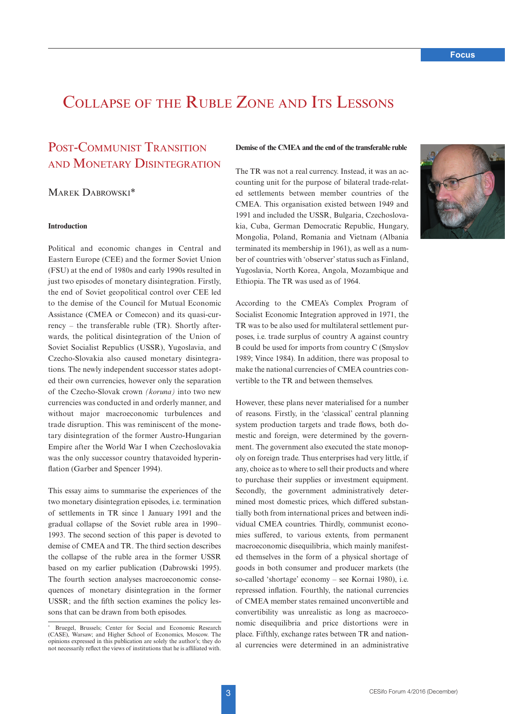# Collapse of the Ruble Zone and Its Lessons

# POST-COMMUNIST TRANSITION and Monetary Disintegration

# Marek Dabrowski\*

# **Introduction**

Political and economic changes in Central and Eastern Europe (CEE) and the former Soviet Union (FSU) at the end of 1980s and early 1990s resulted in just two episodes of monetary disintegration. Firstly, the end of Soviet geopolitical control over CEE led to the demise of the Council for Mutual Economic Assistance (CMEA or Comecon) and its quasi-currency – the transferable ruble (TR). Shortly afterwards, the political disintegration of the Union of Soviet Socialist Republics (USSR), Yugoslavia, and Czecho-Slovakia also caused monetary disintegrations. The newly independent successor states adopted their own currencies, however only the separation of the Czecho-Slovak crown *(koruna)* into two new currencies was conducted in and orderly manner, and without major macroeconomic turbulences and trade disruption. This was reminiscent of the monetary disintegration of the former Austro-Hungarian Empire after the World War I when Czechoslovakia was the only successor country thatavoided hyperinflation (Garber and Spencer 1994).

This essay aims to summarise the experiences of the two monetary disintegration episodes, i.e. termination of settlements in TR since 1 January 1991 and the gradual collapse of the Soviet ruble area in 1990– 1993. The second section of this paper is devoted to demise of CMEA and TR. The third section describes the collapse of the ruble area in the former USSR based on my earlier publication (Dabrowski 1995). The fourth section analyses macroeconomic consequences of monetary disintegration in the former USSR; and the fifth section examines the policy lessons that can be drawn from both episodes.

# **Demise of the CMEA and the end of the transferable ruble**

The TR was not a real currency. Instead, it was an accounting unit for the purpose of bilateral trade-related settlements between member countries of the CMEA. This organisation existed between 1949 and 1991 and included the USSR, Bulgaria, Czechoslovakia, Cuba, German Democratic Republic, Hungary, Mongolia, Poland, Romania and Vietnam (Albania terminated its membership in 1961), as well as a number of countries with 'observer' status such as Finland, Yugoslavia, North Korea, Angola, Mozambique and Ethiopia. The TR was used as of 1964.

According to the CMEA's Complex Program of Socialist Economic Integration approved in 1971, the TR was to be also used for multilateral settlement purposes, i.e. trade surplus of country A against country B could be used for imports from country C (Smyslov 1989; Vince 1984). In addition, there was proposal to make the national currencies of CMEA countries convertible to the TR and between themselves.

However, these plans never materialised for a number of reasons. Firstly, in the 'classical' central planning system production targets and trade flows, both domestic and foreign, were determined by the government. The government also executed the state monopoly on foreign trade. Thus enterprises had very little, if any, choice as to where to sell their products and where to purchase their supplies or investment equipment. Secondly, the government administratively determined most domestic prices, which differed substantially both from international prices and between individual CMEA countries. Thirdly, communist economies suffered, to various extents, from permanent macroeconomic disequilibria, which mainly manifested themselves in the form of a physical shortage of goods in both consumer and producer markets (the so-called 'shortage' economy – see Kornai 1980), i.e. repressed inflation. Fourthly, the national currencies of CMEA member states remained unconvertible and convertibility was unrealistic as long as macroeconomic disequilibria and price distortions were in place. Fifthly, exchange rates between TR and national currencies were determined in an administrative

Bruegel, Brussels; Center for Social and Economic Research (CASE), Warsaw; and Higher School of Economics, Moscow. The opinions expressed in this publication are solely the author's; they do not necessarily reflect the views of institutions that he is affiliated with.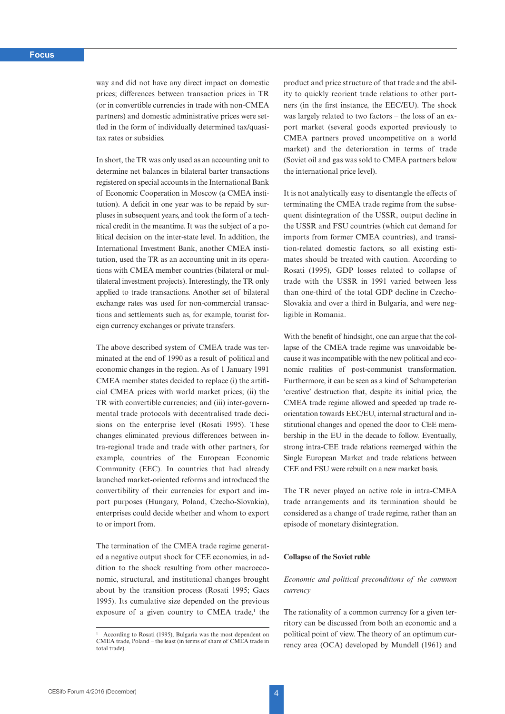way and did not have any direct impact on domestic prices; differences between transaction prices in TR (or in convertible currencies in trade with non-CMEA partners) and domestic administrative prices were settled in the form of individually determined tax/quasitax rates or subsidies.

In short, the TR was only used as an accounting unit to determine net balances in bilateral barter transactions registered on special accounts in the International Bank of Economic Cooperation in Moscow (a CMEA institution). A deficit in one year was to be repaid by surpluses in subsequent years, and took the form of a technical credit in the meantime. It was the subject of a political decision on the inter-state level. In addition, the International Investment Bank, another CMEA institution, used the TR as an accounting unit in its operations with CMEA member countries (bilateral or multilateral investment projects). Interestingly, the TR only applied to trade transactions. Another set of bilateral exchange rates was used for non-commercial transactions and settlements such as, for example, tourist foreign currency exchanges or private transfers.

The above described system of CMEA trade was terminated at the end of 1990 as a result of political and economic changes in the region. As of 1 January 1991 CMEA member states decided to replace (i) the artificial CMEA prices with world market prices; (ii) the TR with convertible currencies; and (iii) inter-governmental trade protocols with decentralised trade decisions on the enterprise level (Rosati 1995). These changes eliminated previous differences between intra-regional trade and trade with other partners, for example, countries of the European Economic Community (EEC). In countries that had already launched market-oriented reforms and introduced the convertibility of their currencies for export and import purposes (Hungary, Poland, Czecho-Slovakia), enterprises could decide whether and whom to export to or import from.

The termination of the CMEA trade regime generated a negative output shock for CEE economies, in addition to the shock resulting from other macroeconomic, structural, and institutional changes brought about by the transition process (Rosati 1995; Gacs 1995). Its cumulative size depended on the previous exposure of a given country to CMEA trade, $<sup>1</sup>$  the</sup>

product and price structure of that trade and the ability to quickly reorient trade relations to other partners (in the first instance, the EEC/EU). The shock was largely related to two factors – the loss of an export market (several goods exported previously to CMEA partners proved uncompetitive on a world market) and the deterioration in terms of trade (Soviet oil and gas was sold to CMEA partners below the international price level).

It is not analytically easy to disentangle the effects of terminating the CMEA trade regime from the subsequent disintegration of the USSR, output decline in the USSR and FSU countries (which cut demand for imports from former CMEA countries), and transition-related domestic factors, so all existing estimates should be treated with caution. According to Rosati (1995), GDP losses related to collapse of trade with the USSR in 1991 varied between less than one-third of the total GDP decline in Czecho-Slovakia and over a third in Bulgaria, and were negligible in Romania.

With the benefit of hindsight, one can argue that the collapse of the CMEA trade regime was unavoidable because it was incompatible with the new political and economic realities of post-communist transformation. Furthermore, it can be seen as a kind of Schumpeterian 'creative' destruction that, despite its initial price, the CMEA trade regime allowed and speeded up trade reorientation towards EEC/EU, internal structural and institutional changes and opened the door to CEE membership in the EU in the decade to follow. Eventually, strong intra-CEE trade relations reemerged within the Single European Market and trade relations between CEE and FSU were rebuilt on a new market basis.

The TR never played an active role in intra-CMEA trade arrangements and its termination should be considered as a change of trade regime, rather than an episode of monetary disintegration.

# **Collapse of the Soviet ruble**

# *Economic and political preconditions of the common currency*

The rationality of a common currency for a given territory can be discussed from both an economic and a political point of view. The theory of an optimum currency area (OCA) developed by Mundell (1961) and

<sup>1</sup> According to Rosati (1995), Bulgaria was the most dependent on CMEA trade, Poland – the least (in terms of share of CMEA trade in total trade).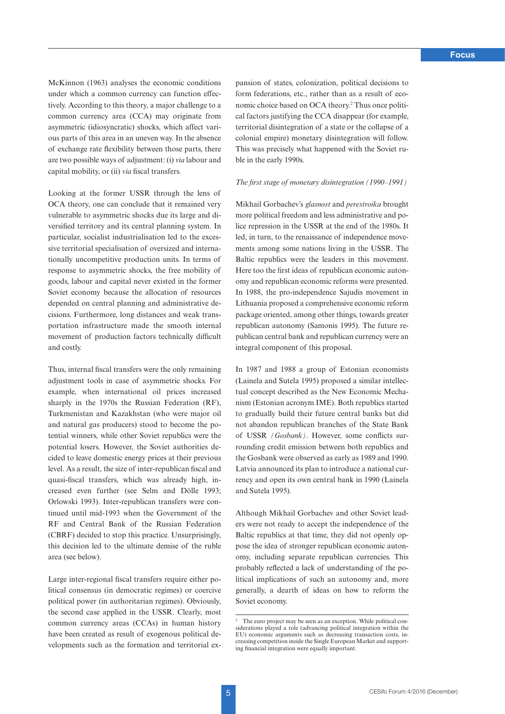McKinnon (1963) analyses the economic conditions under which a common currency can function effectively. According to this theory, a major challenge to a common currency area (CCA) may originate from asymmetric (idiosyncratic) shocks, which affect various parts of this area in an uneven way. In the absence of exchange rate flexibility between those parts, there are two possible ways of adjustment: (i) *via* labour and capital mobility, or (ii) *via* fiscal transfers.

Looking at the former USSR through the lens of OCA theory, one can conclude that it remained very vulnerable to asymmetric shocks due its large and diversified territory and its central planning system. In particular, socialist industrialisation led to the excessive territorial specialisation of oversized and internationally uncompetitive production units. In terms of response to asymmetric shocks, the free mobility of goods, labour and capital never existed in the former Soviet economy because the allocation of resources depended on central planning and administrative decisions. Furthermore, long distances and weak transportation infrastructure made the smooth internal movement of production factors technically difficult and costly.

Thus, internal fiscal transfers were the only remaining adjustment tools in case of asymmetric shocks. For example, when international oil prices increased sharply in the 1970s the Russian Federation (RF), Turkmenistan and Kazakhstan (who were major oil and natural gas producers) stood to become the potential winners, while other Soviet republics were the potential losers. However, the Soviet authorities decided to leave domestic energy prices at their previous level. As a result, the size of inter-republican fiscal and quasi-fiscal transfers, which was already high, increased even further (see Selm and Dölle 1993; Orlowski 1993). Inter-republican transfers were continued until mid-1993 when the Government of the RF and Central Bank of the Russian Federation (CBRF) decided to stop this practice. Unsurprisingly, this decision led to the ultimate demise of the ruble area (see below).

Large inter-regional fiscal transfers require either political consensus (in democratic regimes) or coercive political power (in authoritarian regimes). Obviously, the second case applied in the USSR. Clearly, most common currency areas (CCAs) in human history have been created as result of exogenous political developments such as the formation and territorial expansion of states, colonization, political decisions to form federations, etc., rather than as a result of economic choice based on OCA theory.2 Thus once political factors justifying the CCA disappear (for example, territorial disintegration of a state or the collapse of a colonial empire) monetary disintegration will follow. This was precisely what happened with the Soviet ruble in the early 1990s.

#### *The first stage of monetary disintegration (1990–1991)*

Mikhail Gorbachev's *glasnost* and *perestroika* brought more political freedom and less administrative and police repression in the USSR at the end of the 1980s. It led, in turn, to the renaissance of independence movements among some nations living in the USSR. The Baltic republics were the leaders in this movement. Here too the first ideas of republican economic autonomy and republican economic reforms were presented. In 1988, the pro-independence Sajudis movement in Lithuania proposed a comprehensive economic reform package oriented, among other things, towards greater republican autonomy (Samonis 1995). The future republican central bank and republican currency were an integral component of this proposal.

In 1987 and 1988 a group of Estonian economists (Lainela and Sutela 1995) proposed a similar intellectual concept described as the New Economic Mechanism (Estonian acronym IME). Both republics started to gradually build their future central banks but did not abandon republican branches of the State Bank of USSR *(Gosbank)*. However, some conflicts surrounding credit emission between both republics and the Gosbank were observed as early as 1989 and 1990. Latvia announced its plan to introduce a national currency and open its own central bank in 1990 (Lainela and Sutela 1995).

Although Mikhail Gorbachev and other Soviet leaders were not ready to accept the independence of the Baltic republics at that time, they did not openly oppose the idea of stronger republican economic autonomy, including separate republican currencies. This probably reflected a lack of understanding of the political implications of such an autonomy and, more generally, a dearth of ideas on how to reform the Soviet economy.

The euro project may be seen as an exception. While political considerations played a role (advancing political integration within the EU) economic arguments such as decreasing transaction costs, increasing competition inside the Single European Market and supporting financial integration were equally important.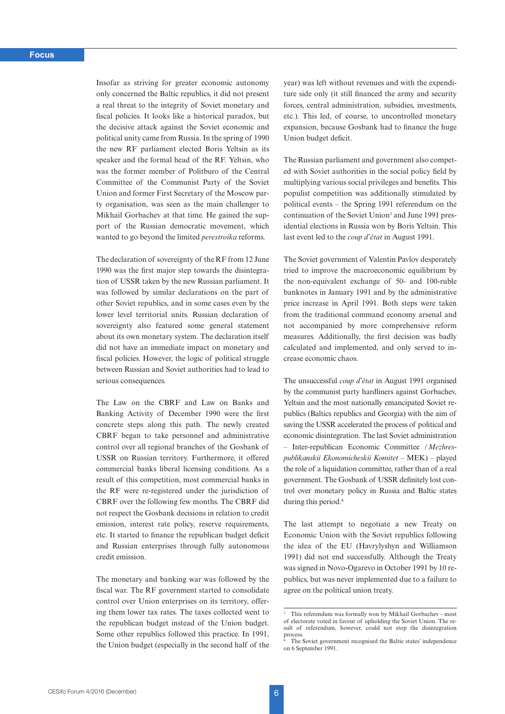Insofar as striving for greater economic autonomy only concerned the Baltic republics, it did not present a real threat to the integrity of Soviet monetary and fiscal policies. It looks like a historical paradox, but the decisive attack against the Soviet economic and political unity came from Russia. In the spring of 1990 the new RF parliament elected Boris Yeltsin as its speaker and the formal head of the RF. Yeltsin, who was the former member of Politburo of the Central Committee of the Communist Party of the Soviet Union and former First Secretary of the Moscow party organisation, was seen as the main challenger to Mikhail Gorbachev at that time. He gained the support of the Russian democratic movement, which wanted to go beyond the limited *perestroika* reforms.

The declaration of sovereignty of the RF from 12 June 1990 was the first major step towards the disintegration of USSR taken by the new Russian parliament. It was followed by similar declarations on the part of other Soviet republics, and in some cases even by the lower level territorial units. Russian declaration of sovereignty also featured some general statement about its own monetary system. The declaration itself did not have an immediate impact on monetary and fiscal policies. However, the logic of political struggle between Russian and Soviet authorities had to lead to serious consequences.

The Law on the CBRF and Law on Banks and Banking Activity of December 1990 were the first concrete steps along this path. The newly created CBRF began to take personnel and administrative control over all regional branches of the Gosbank of USSR on Russian territory. Furthermore, it offered commercial banks liberal licensing conditions. As a result of this competition, most commercial banks in the RF were re-registered under the jurisdiction of CBRF over the following few months. The CBRF did not respect the Gosbank decisions in relation to credit emission, interest rate policy, reserve requirements, etc. It started to finance the republican budget deficit and Russian enterprises through fully autonomous credit emission.

The monetary and banking war was followed by the fiscal war. The RF government started to consolidate control over Union enterprises on its territory, offering them lower tax rates. The taxes collected went to the republican budget instead of the Union budget. Some other republics followed this practice. In 1991, the Union budget (especially in the second half of the

year) was left without revenues and with the expenditure side only (it still financed the army and security forces, central administration, subsidies, investments, etc.). This led, of course, to uncontrolled monetary expansion, because Gosbank had to finance the huge Union budget deficit.

The Russian parliament and government also competed with Soviet authorities in the social policy field by multiplying various social privileges and benefits. This populist competition was additionally stimulated by political events – the Spring 1991 referendum on the continuation of the Soviet Union<sup>3</sup> and June 1991 presidential elections in Russia won by Boris Yeltsin. This last event led to the *coup d'état* in August 1991.

The Soviet government of Valentin Pavlov desperately tried to improve the macroeconomic equilibrium by the non-equivalent exchange of 50- and 100-ruble banknotes in January 1991 and by the administrative price increase in April 1991. Both steps were taken from the traditional command economy arsenal and not accompanied by more comprehensive reform measures. Additionally, the first decision was badly calculated and implemented, and only served to increase economic chaos.

The unsuccessful *coup d'état* in August 1991 organised by the communist party hardliners against Gorbachev, Yeltsin and the most nationally emancipated Soviet republics (Baltics republics and Georgia) with the aim of saving the USSR accelerated the process of political and economic disintegration. The last Soviet administration – Inter-republican Economic Committee *(Mezhrespublikanskii Ekonomicheskii Komitet* – MEK) – played the role of a liquidation committee, rather than of a real government. The Gosbank of USSR definitely lost control over monetary policy in Russia and Baltic states during this period.4

The last attempt to negotiate a new Treaty on Economic Union with the Soviet republics following the idea of the EU (Havrylyshyn and Williamson 1991) did not end successfully. Although the Treaty was signed in Novo-Ogarevo in October 1991 by 10 republics, but was never implemented due to a failure to agree on the political union treaty.

<sup>&</sup>lt;sup>3</sup> This referendum was formally won by Mikhail Gorbachev - most of electorate voted in favour of upholding the Soviet Union. The result of referendum, however, could not stop the disintegration process.

The Soviet government recognised the Baltic states' independence on 6 September 1991.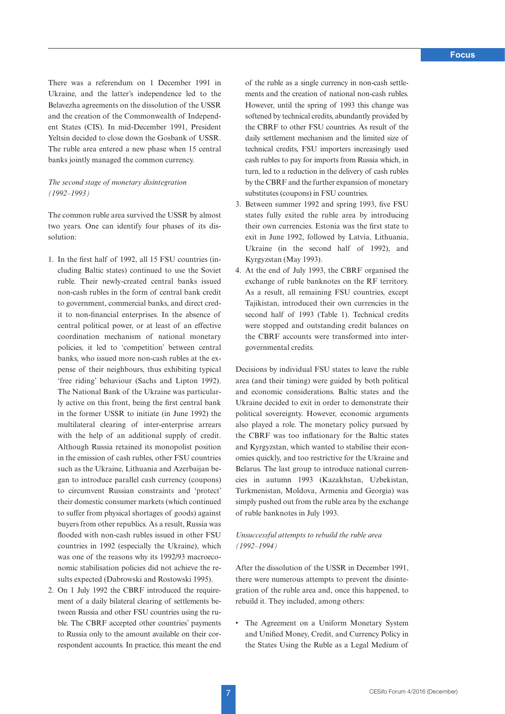There was a referendum on 1 December 1991 in Ukraine, and the latter's independence led to the Belavezha agreements on the dissolution of the USSR and the creation of the Commonwealth of Independent States (CIS). In mid-December 1991, President Yeltsin decided to close down the Gosbank of USSR. The ruble area entered a new phase when 15 central banks jointly managed the common currency.

# *The second stage of monetary disintegration (1992–1993)*

The common ruble area survived the USSR by almost two years. One can identify four phases of its dissolution:

- 1. In the first half of 1992, all 15 FSU countries (including Baltic states) continued to use the Soviet ruble. Their newly-created central banks issued non-cash rubles in the form of central bank credit to government, commercial banks, and direct credit to non-financial enterprises. In the absence of central political power, or at least of an effective coordination mechanism of national monetary policies, it led to 'competition' between central banks, who issued more non-cash rubles at the expense of their neighbours, thus exhibiting typical 'free riding' behaviour (Sachs and Lipton 1992). The National Bank of the Ukraine was particularly active on this front, being the first central bank in the former USSR to initiate (in June 1992) the multilateral clearing of inter-enterprise arrears with the help of an additional supply of credit. Although Russia retained its monopolist position in the emission of cash rubles, other FSU countries such as the Ukraine, Lithuania and Azerbaijan began to introduce parallel cash currency (coupons) to circumvent Russian constraints and 'protect' their domestic consumer markets (which continued to suffer from physical shortages of goods) against buyers from other republics. As a result, Russia was flooded with non-cash rubles issued in other FSU countries in 1992 (especially the Ukraine), which was one of the reasons why its 1992/93 macroeconomic stabilisation policies did not achieve the results expected (Dabrowski and Rostowski 1995).
- 2. On 1 July 1992 the CBRF introduced the requirement of a daily bilateral clearing of settlements between Russia and other FSU countries using the ruble. The CBRF accepted other countries' payments to Russia only to the amount available on their correspondent accounts. In practice, this meant the end

of the ruble as a single currency in non-cash settlements and the creation of national non-cash rubles. However, until the spring of 1993 this change was softened by technical credits, abundantly provided by the CBRF to other FSU countries. As result of the daily settlement mechanism and the limited size of technical credits, FSU importers increasingly used cash rubles to pay for imports from Russia which, in turn, led to a reduction in the delivery of cash rubles by the CBRF and the further expansion of monetary substitutes (coupons) in FSU countries.

- 3. Between summer 1992 and spring 1993, five FSU states fully exited the ruble area by introducing their own currencies. Estonia was the first state to exit in June 1992, followed by Latvia, Lithuania, Ukraine (in the second half of 1992), and Kyrgyzstan (May 1993).
- 4. At the end of July 1993, the CBRF organised the exchange of ruble banknotes on the RF territory. As a result, all remaining FSU countries, except Tajikistan, introduced their own currencies in the second half of 1993 (Table 1). Technical credits were stopped and outstanding credit balances on the CBRF accounts were transformed into intergovernmental credits.

Decisions by individual FSU states to leave the ruble area (and their timing) were guided by both political and economic considerations. Baltic states and the Ukraine decided to exit in order to demonstrate their political sovereignty. However, economic arguments also played a role. The monetary policy pursued by the CBRF was too inflationary for the Baltic states and Kyrgyzstan, which wanted to stabilise their economies quickly, and too restrictive for the Ukraine and Belarus. The last group to introduce national currencies in autumn 1993 (Kazakhstan, Uzbekistan, Turkmenistan, Moldova, Armenia and Georgia) was simply pushed out from the ruble area by the exchange of ruble banknotes in July 1993.

# *Unsuccessful attempts to rebuild the ruble area (1992–1994)*

After the dissolution of the USSR in December 1991, there were numerous attempts to prevent the disintegration of the ruble area and, once this happened, to rebuild it. They included, among others:

• The Agreement on a Uniform Monetary System and Unified Money, Credit, and Currency Policy in the States Using the Ruble as a Legal Medium of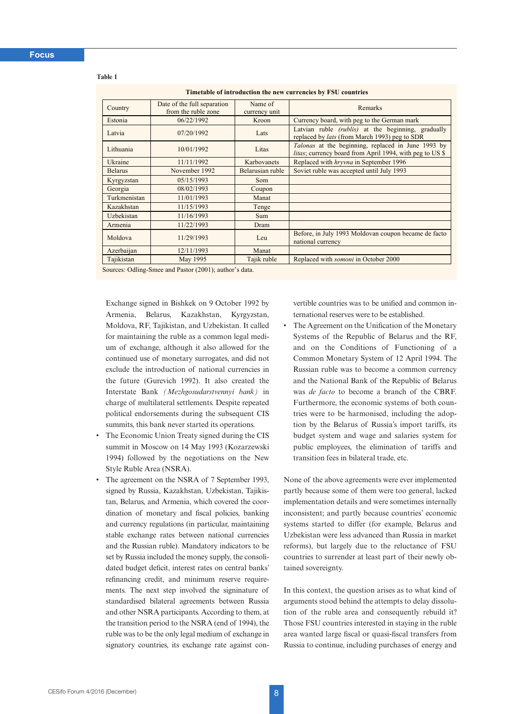#### **Table 1**

**Timetable of introduction the new currencies by FSU countries**

| Country                                                              | Date of the full separation<br>from the ruble zone | Name of<br>currency unit | Remarks                                                                                                               |  |  |  |
|----------------------------------------------------------------------|----------------------------------------------------|--------------------------|-----------------------------------------------------------------------------------------------------------------------|--|--|--|
| Estonia                                                              | 06/22/1992                                         | Kroon                    | Currency board, with peg to the German mark                                                                           |  |  |  |
| Latvia                                                               | 07/20/1992                                         | Lats                     | Latvian ruble <i>(rublis)</i> at the beginning, gradually<br>replaced by <i>lats</i> (from March 1993) peg to SDR     |  |  |  |
| Lithuania                                                            | 10/01/1992                                         | Litas                    | <i>Talonas</i> at the beginning, replaced in June 1993 by<br>litas; currency board from April 1994, with peg to US \$ |  |  |  |
| Ukraine                                                              | 11/11/1992                                         | Karbovanets              | Replaced with <i>hryvna</i> in September 1996                                                                         |  |  |  |
| <b>Belarus</b>                                                       | November 1992                                      | Belarusian ruble         | Soviet ruble was accepted until July 1993                                                                             |  |  |  |
| Kyrgyzstan                                                           | 05/15/1993                                         | Som                      |                                                                                                                       |  |  |  |
| Georgia                                                              | 08/02/1993                                         | Coupon                   |                                                                                                                       |  |  |  |
| Turkmenistan                                                         | 11/01/1993                                         | Manat                    |                                                                                                                       |  |  |  |
| Kazakhstan                                                           | 11/15/1993                                         | Tenge                    |                                                                                                                       |  |  |  |
| Uzbekistan                                                           | 11/16/1993                                         | Sum                      |                                                                                                                       |  |  |  |
| Armenia                                                              | 11/22/1993                                         | Dram                     |                                                                                                                       |  |  |  |
| Moldova                                                              | 11/29/1993                                         | Leu                      | Before, in July 1993 Moldovan coupon became de facto<br>national currency                                             |  |  |  |
| Azerbaijan                                                           | 12/11/1993                                         | Manat                    |                                                                                                                       |  |  |  |
| Tajikistan                                                           | May 1995                                           | Tajik ruble              | Replaced with <i>somoni</i> in October 2000                                                                           |  |  |  |
| $\alpha$ $\alpha$ $\alpha$ $\alpha$<br>$1.7 \t\t(0.001)$ $1.7 \t1.7$ |                                                    |                          |                                                                                                                       |  |  |  |

Sources: Odling-Smee and Pastor (2001); author's data.

Exchange signed in Bishkek on 9 October 1992 by Armenia, Belarus, Kazakhstan, Kyrgyzstan, Moldova, RF, Tajikistan, and Uzbekistan. It called for maintaining the ruble as a common legal medium of exchange, although it also allowed for the continued use of monetary surrogates, and did not exclude the introduction of national currencies in the future (Gurevich 1992). It also created the Interstate Bank *(Mezhgosudarstvennyi bank)* in charge of multilateral settlements. Despite repeated political endorsements during the subsequent CIS summits, this bank never started its operations.

- The Economic Union Treaty signed during the CIS summit in Moscow on 14 May 1993 (Kozarzewski 1994) followed by the negotiations on the New Style Ruble Area (NSRA).
- The agreement on the NSRA of 7 September 1993, signed by Russia, Kazakhstan, Uzbekistan, Tajikistan, Belarus, and Armenia, which covered the coordination of monetary and fiscal policies, banking and currency regulations (in particular, maintaining stable exchange rates between national currencies and the Russian ruble). Mandatory indicators to be set by Russia included the money supply, the consolidated budget deficit, interest rates on central banks' refinancing credit, and minimum reserve requirements. The next step involved the signinature of standardised bilateral agreements between Russia and other NSRA participants. According to them, at the transition period to the NSRA (end of 1994), the ruble was to be the only legal medium of exchange in signatory countries, its exchange rate against con-

vertible countries was to be unified and common international reserves were to be established.

The Agreement on the Unification of the Monetary Systems of the Republic of Belarus and the RF, and on the Conditions of Functioning of a Common Monetary System of 12 April 1994. The Russian ruble was to become a common currency and the National Bank of the Republic of Belarus was *de facto* to become a branch of the CBRF. Furthermore, the economic systems of both countries were to be harmonised, including the adoption by the Belarus of Russia's import tariffs, its budget system and wage and salaries system for public employees, the elimination of tariffs and transition fees in bilateral trade, etc.

None of the above agreements were ever implemented partly because some of them were too general, lacked implementation details and were sometimes internally inconsistent; and partly because countries' economic systems started to differ (for example, Belarus and Uzbekistan were less advanced than Russia in market reforms), but largely due to the reluctance of FSU countries to surrender at least part of their newly obtained sovereignty.

In this context, the question arises as to what kind of arguments stood behind the attempts to delay dissolution of the ruble area and consequently rebuild it? Those FSU countries interested in staying in the ruble area wanted large fiscal or quasi-fiscal transfers from Russia to continue, including purchases of energy and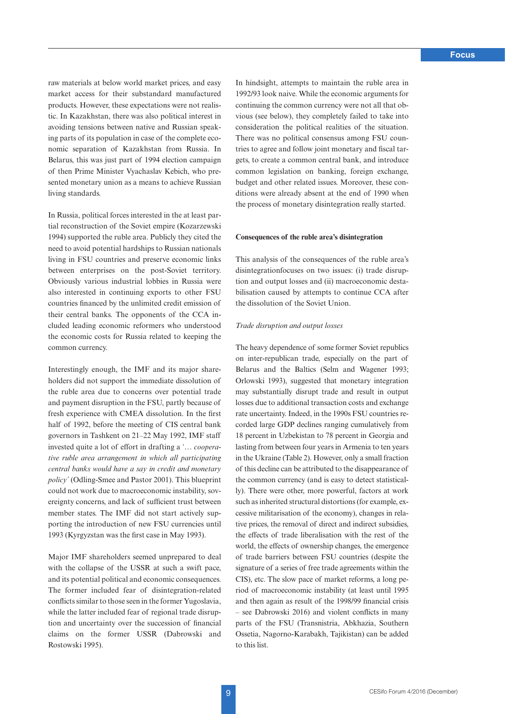**Focus**

raw materials at below world market prices, and easy market access for their substandard manufactured products. However, these expectations were not realistic. In Kazakhstan, there was also political interest in avoiding tensions between native and Russian speaking parts of its population in case of the complete economic separation of Kazakhstan from Russia. In Belarus, this was just part of 1994 election campaign of then Prime Minister Vyachaslav Kebich, who presented monetary union as a means to achieve Russian living standards.

In Russia, political forces interested in the at least partial reconstruction of the Soviet empire (Kozarzewski 1994) supported the ruble area. Publicly they cited the need to avoid potential hardships to Russian nationals living in FSU countries and preserve economic links between enterprises on the post-Soviet territory. Obviously various industrial lobbies in Russia were also interested in continuing exports to other FSU countries financed by the unlimited credit emission of their central banks. The opponents of the CCA included leading economic reformers who understood the economic costs for Russia related to keeping the common currency.

Interestingly enough, the IMF and its major shareholders did not support the immediate dissolution of the ruble area due to concerns over potential trade and payment disruption in the FSU, partly because of fresh experience with CMEA dissolution. In the first half of 1992, before the meeting of CIS central bank governors in Tashkent on 21–22 May 1992, IMF staff invested quite a lot of effort in drafting a *'… cooperative ruble area arrangement in which all participating central banks would have a say in credit and monetary policy'* (Odling-Smee and Pastor 2001). This blueprint could not work due to macroeconomic instability, sovereignty concerns, and lack of sufficient trust between member states. The IMF did not start actively supporting the introduction of new FSU currencies until 1993 (Kyrgyzstan was the first case in May 1993).

Major IMF shareholders seemed unprepared to deal with the collapse of the USSR at such a swift pace, and its potential political and economic consequences. The former included fear of disintegration-related conflicts similar to those seen in the former Yugoslavia, while the latter included fear of regional trade disruption and uncertainty over the succession of financial claims on the former USSR (Dabrowski and Rostowski 1995).

In hindsight, attempts to maintain the ruble area in 1992/93 look naive. While the economic arguments for continuing the common currency were not all that obvious (see below), they completely failed to take into consideration the political realities of the situation. There was no political consensus among FSU countries to agree and follow joint monetary and fiscal targets, to create a common central bank, and introduce common legislation on banking, foreign exchange, budget and other related issues. Moreover, these conditions were already absent at the end of 1990 when the process of monetary disintegration really started.

### **Consequences of the ruble area's disintegration**

This analysis of the consequences of the ruble area's disintegrationfocuses on two issues: (i) trade disruption and output losses and (ii) macroeconomic destabilisation caused by attempts to continue CCA after the dissolution of the Soviet Union.

### *Trade disruption and output losses*

The heavy dependence of some former Soviet republics on inter-republican trade, especially on the part of Belarus and the Baltics (Selm and Wagener 1993; Orlowski 1993), suggested that monetary integration may substantially disrupt trade and result in output losses due to additional transaction costs and exchange rate uncertainty. Indeed, in the 1990s FSU countries recorded large GDP declines ranging cumulatively from 18 percent in Uzbekistan to 78 percent in Georgia and lasting from between four years in Armenia to ten years in the Ukraine (Table 2). However, only a small fraction of this decline can be attributed to the disappearance of the common currency (and is easy to detect statistically). There were other, more powerful, factors at work such as inherited structural distortions (for example, excessive militarisation of the economy), changes in relative prices, the removal of direct and indirect subsidies, the effects of trade liberalisation with the rest of the world, the effects of ownership changes, the emergence of trade barriers between FSU countries (despite the signature of a series of free trade agreements within the CIS), etc. The slow pace of market reforms, a long period of macroeconomic instability (at least until 1995 and then again as result of the 1998/99 financial crisis – see Dabrowski 2016) and violent conflicts in many parts of the FSU (Transnistria, Abkhazia, Southern Ossetia, Nagorno-Karabakh, Tajikistan) can be added to this list.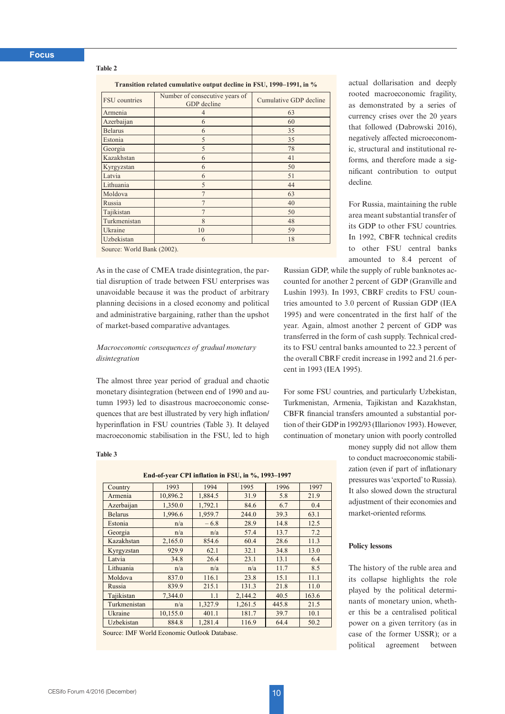#### **Table 2**

**Transition related cumulative output decline in FSU, 1990–1991, in %**

| FSU countries  | Number of consecutive years of<br>GDP decline | Cumulative GDP decline |  |  |
|----------------|-----------------------------------------------|------------------------|--|--|
| Armenia        | $\overline{4}$                                | 63                     |  |  |
| Azerbaijan     | 6                                             | 60                     |  |  |
| <b>Belarus</b> | 6                                             | 35                     |  |  |
| Estonia        | 5                                             | 35                     |  |  |
| Georgia        | 5                                             | 78                     |  |  |
| Kazakhstan     | 6                                             | 41                     |  |  |
| Kyrgyzstan     | 6                                             | 50                     |  |  |
| Latvia         | 6                                             | 51                     |  |  |
| Lithuania      | 5                                             | 44                     |  |  |
| Moldova        | $\overline{7}$                                | 63                     |  |  |
| Russia         |                                               | 40                     |  |  |
| Tajikistan     |                                               | 50                     |  |  |
| Turkmenistan   | 8                                             | 48                     |  |  |
| Ukraine        | 10                                            | 59                     |  |  |
| Uzbekistan     | 6                                             | 18                     |  |  |

Source: World Bank (2002).

As in the case of CMEA trade disintegration, the partial disruption of trade between FSU enterprises was unavoidable because it was the product of arbitrary planning decisions in a closed economy and political and administrative bargaining, rather than the upshot of market-based comparative advantages.

# *Macroeconomic consequences of gradual monetary disintegration*

The almost three year period of gradual and chaotic monetary disintegration (between end of 1990 and autumn 1993) led to disastrous macroeconomic consequences that are best illustrated by very high inflation/ hyperinflation in FSU countries (Table 3). It delayed macroeconomic stabilisation in the FSU, led to high

#### **Table 3**

| End-of-year CPI inflation in FSU, in %, 1993-1997 |          |         |         |       |       |  |  |  |
|---------------------------------------------------|----------|---------|---------|-------|-------|--|--|--|
| Country                                           | 1993     | 1994    | 1995    | 1996  | 1997  |  |  |  |
| Armenia                                           | 10,896.2 | 1,884.5 | 31.9    | 5.8   | 21.9  |  |  |  |
| Azerbaijan                                        | 1,350.0  | 1,792.1 | 84.6    | 6.7   | 0.4   |  |  |  |
| <b>Belarus</b>                                    | 1,996.6  | 1,959.7 | 244.0   | 39.3  | 63.1  |  |  |  |
| Estonia                                           | n/a      | $-6.8$  | 28.9    | 14.8  | 12.5  |  |  |  |
| Georgia                                           | n/a      | n/a     | 57.4    | 13.7  | 7.2   |  |  |  |
| Kazakhstan                                        | 2,165.0  | 854.6   | 60.4    | 28.6  | 11.3  |  |  |  |
| Kyrgyzstan                                        | 929.9    | 62.1    | 32.1    | 34.8  | 13.0  |  |  |  |
| Latvia                                            | 34.8     | 26.4    | 23.1    | 13.1  | 6.4   |  |  |  |
| Lithuania                                         | n/a      | n/a     | n/a     | 11.7  | 8.5   |  |  |  |
| Moldova                                           | 837.0    | 116.1   | 23.8    | 15.1  | 11.1  |  |  |  |
| Russia                                            | 839.9    | 215.1   | 131.3   | 21.8  | 11.0  |  |  |  |
| Tajikistan                                        | 7,344.0  | 1.1     | 2,144.2 | 40.5  | 163.6 |  |  |  |
| Turkmenistan                                      | n/a      | 1,327.9 | 1,261.5 | 445.8 | 21.5  |  |  |  |
| Ukraine                                           | 10,155.0 | 401.1   | 181.7   | 39.7  | 10.1  |  |  |  |
| Uzbekistan                                        | 884.8    | 1,281.4 | 116.9   | 64.4  | 50.2  |  |  |  |

Source: IMF World Economic Outlook Database.

actual dollarisation and deeply rooted macroeconomic fragility, as demonstrated by a series of currency crises over the 20 years that followed (Dabrowski 2016), negatively affected microeconomic, structural and institutional reforms, and therefore made a significant contribution to output decline.

For Russia, maintaining the ruble area meant substantial transfer of its GDP to other FSU countries. In 1992, CBFR technical credits to other FSU central banks amounted to 8.4 percent of

Russian GDP, while the supply of ruble banknotes accounted for another 2 percent of GDP (Granville and Lushin 1993). In 1993, CBRF credits to FSU countries amounted to 3.0 percent of Russian GDP (IEA 1995) and were concentrated in the first half of the year. Again, almost another 2 percent of GDP was transferred in the form of cash supply. Technical credits to FSU central banks amounted to 22.3 percent of the overall CBRF credit increase in 1992 and 21.6 percent in 1993 (IEA 1995).

For some FSU countries, and particularly Uzbekistan, Turkmenistan, Armenia, Tajikistan and Kazakhstan, CBFR financial transfers amounted a substantial portion of their GDP in 1992/93 (Illarionov 1993). However, continuation of monetary union with poorly controlled

> money supply did not allow them to conduct macroeconomic stabilization (even if part of inflationary pressures was 'exported' to Russia). It also slowed down the structural adjustment of their economies and market-oriented reforms.

# **Policy lessons**

The history of the ruble area and its collapse highlights the role played by the political determinants of monetary union, whether this be a centralised political power on a given territory (as in case of the former USSR); or a political agreement between